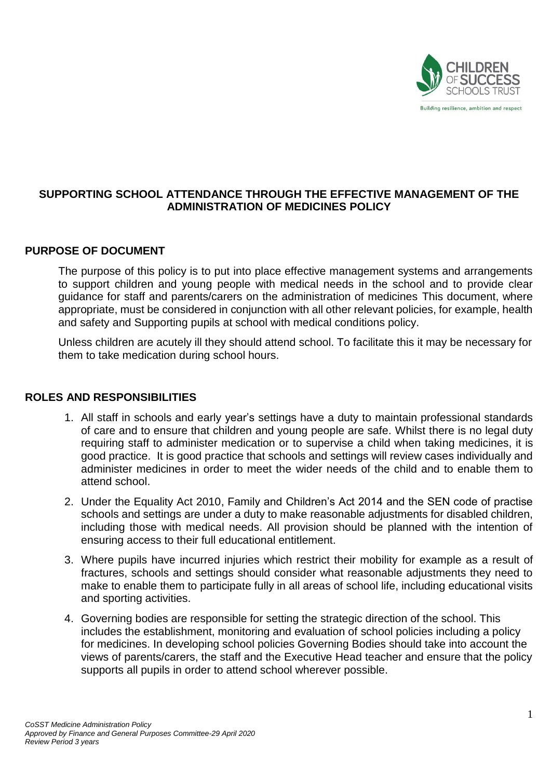

## **SUPPORTING SCHOOL ATTENDANCE THROUGH THE EFFECTIVE MANAGEMENT OF THE ADMINISTRATION OF MEDICINES POLICY**

### **PURPOSE OF DOCUMENT**

The purpose of this policy is to put into place effective management systems and arrangements to support children and young people with medical needs in the school and to provide clear guidance for staff and parents/carers on the administration of medicines This document, where appropriate, must be considered in conjunction with all other relevant policies, for example, health and safety and Supporting pupils at school with medical conditions policy.

Unless children are acutely ill they should attend school. To facilitate this it may be necessary for them to take medication during school hours.

### **ROLES AND RESPONSIBILITIES**

- 1. All staff in schools and early year's settings have a duty to maintain professional standards of care and to ensure that children and young people are safe. Whilst there is no legal duty requiring staff to administer medication or to supervise a child when taking medicines, it is good practice. It is good practice that schools and settings will review cases individually and administer medicines in order to meet the wider needs of the child and to enable them to attend school.
- 2. Under the Equality Act 2010, Family and Children's Act 2014 and the SEN code of practise schools and settings are under a duty to make reasonable adjustments for disabled children, including those with medical needs. All provision should be planned with the intention of ensuring access to their full educational entitlement.
- 3. Where pupils have incurred injuries which restrict their mobility for example as a result of fractures, schools and settings should consider what reasonable adjustments they need to make to enable them to participate fully in all areas of school life, including educational visits and sporting activities.
- 4. Governing bodies are responsible for setting the strategic direction of the school. This includes the establishment, monitoring and evaluation of school policies including a policy for medicines. In developing school policies Governing Bodies should take into account the views of parents/carers, the staff and the Executive Head teacher and ensure that the policy supports all pupils in order to attend school wherever possible.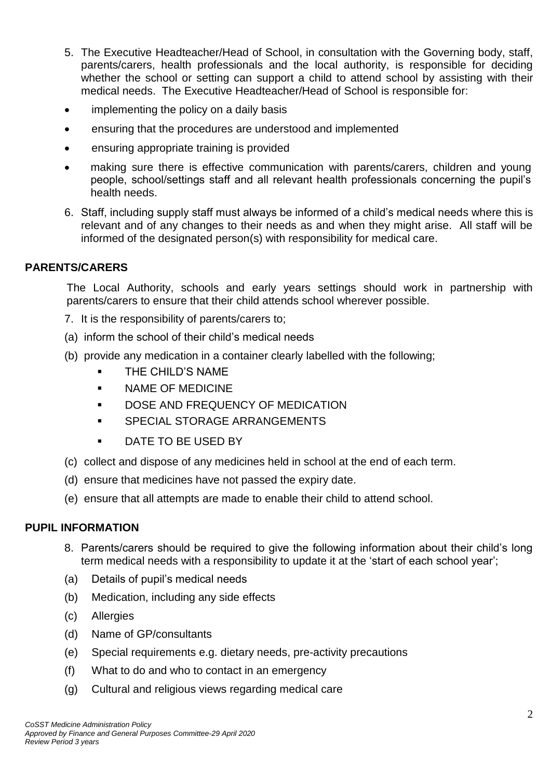- 5. The Executive Headteacher/Head of School, in consultation with the Governing body, staff, parents/carers, health professionals and the local authority, is responsible for deciding whether the school or setting can support a child to attend school by assisting with their medical needs. The Executive Headteacher/Head of School is responsible for:
- implementing the policy on a daily basis
- ensuring that the procedures are understood and implemented
- ensuring appropriate training is provided
- making sure there is effective communication with parents/carers, children and young people, school/settings staff and all relevant health professionals concerning the pupil's health needs.
- 6. Staff, including supply staff must always be informed of a child's medical needs where this is relevant and of any changes to their needs as and when they might arise. All staff will be informed of the designated person(s) with responsibility for medical care.

## **PARENTS/CARERS**

The Local Authority, schools and early years settings should work in partnership with parents/carers to ensure that their child attends school wherever possible.

- 7. It is the responsibility of parents/carers to;
- (a) inform the school of their child's medical needs
- (b) provide any medication in a container clearly labelled with the following;
	- **THE CHILD'S NAME**
	- **NAME OF MEDICINE**
	- **DOSE AND FREQUENCY OF MEDICATION**
	- **SPECIAL STORAGE ARRANGEMENTS**
	- **DATE TO BE USED BY**
- (c) collect and dispose of any medicines held in school at the end of each term.
- (d) ensure that medicines have not passed the expiry date.
- (e) ensure that all attempts are made to enable their child to attend school.

### **PUPIL INFORMATION**

- 8. Parents/carers should be required to give the following information about their child's long term medical needs with a responsibility to update it at the 'start of each school year';
- (a) Details of pupil's medical needs
- (b) Medication, including any side effects
- (c) Allergies
- (d) Name of GP/consultants
- (e) Special requirements e.g. dietary needs, pre-activity precautions
- (f) What to do and who to contact in an emergency
- (g) Cultural and religious views regarding medical care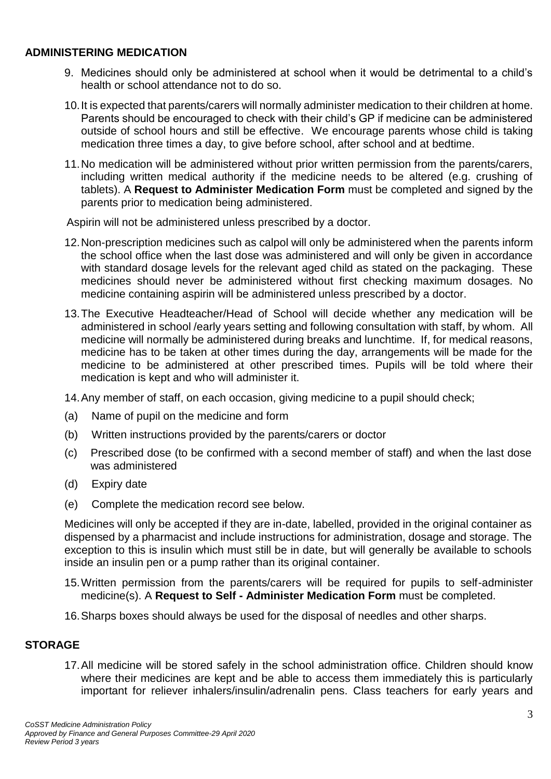### **ADMINISTERING MEDICATION**

- 9. Medicines should only be administered at school when it would be detrimental to a child's health or school attendance not to do so.
- 10.It is expected that parents/carers will normally administer medication to their children at home. Parents should be encouraged to check with their child's GP if medicine can be administered outside of school hours and still be effective. We encourage parents whose child is taking medication three times a day, to give before school, after school and at bedtime.
- 11.No medication will be administered without prior written permission from the parents/carers, including written medical authority if the medicine needs to be altered (e.g. crushing of tablets). A **Request to Administer Medication Form** must be completed and signed by the parents prior to medication being administered.

Aspirin will not be administered unless prescribed by a doctor.

- 12.Non-prescription medicines such as calpol will only be administered when the parents inform the school office when the last dose was administered and will only be given in accordance with standard dosage levels for the relevant aged child as stated on the packaging. These medicines should never be administered without first checking maximum dosages. No medicine containing aspirin will be administered unless prescribed by a doctor.
- 13.The Executive Headteacher/Head of School will decide whether any medication will be administered in school /early years setting and following consultation with staff, by whom. All medicine will normally be administered during breaks and lunchtime. If, for medical reasons, medicine has to be taken at other times during the day, arrangements will be made for the medicine to be administered at other prescribed times. Pupils will be told where their medication is kept and who will administer it.

14.Any member of staff, on each occasion, giving medicine to a pupil should check;

- (a) Name of pupil on the medicine and form
- (b) Written instructions provided by the parents/carers or doctor
- (c) Prescribed dose (to be confirmed with a second member of staff) and when the last dose was administered
- (d) Expiry date
- (e) Complete the medication record see below.

Medicines will only be accepted if they are in-date, labelled, provided in the original container as dispensed by a pharmacist and include instructions for administration, dosage and storage. The exception to this is insulin which must still be in date, but will generally be available to schools inside an insulin pen or a pump rather than its original container.

- 15.Written permission from the parents/carers will be required for pupils to self-administer medicine(s). A **Request to Self - Administer Medication Form** must be completed.
- 16.Sharps boxes should always be used for the disposal of needles and other sharps.

### **STORAGE**

17.All medicine will be stored safely in the school administration office. Children should know where their medicines are kept and be able to access them immediately this is particularly important for reliever inhalers/insulin/adrenalin pens. Class teachers for early years and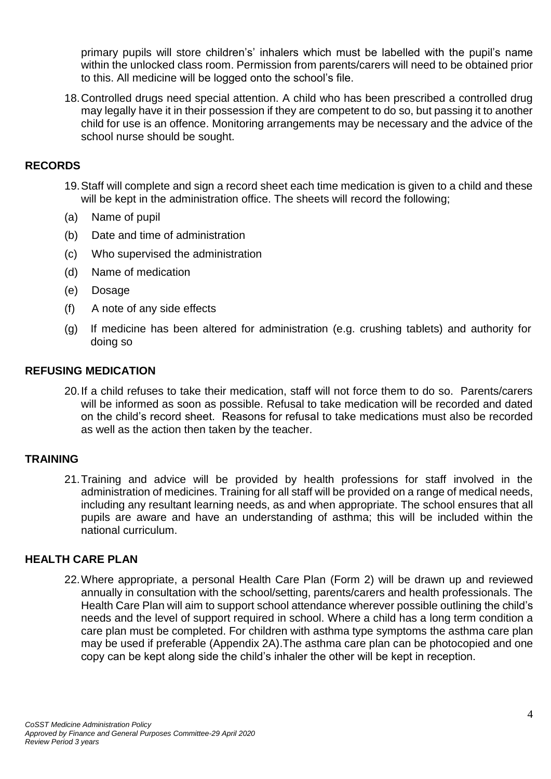primary pupils will store children's' inhalers which must be labelled with the pupil's name within the unlocked class room. Permission from parents/carers will need to be obtained prior to this. All medicine will be logged onto the school's file.

18.Controlled drugs need special attention. A child who has been prescribed a controlled drug may legally have it in their possession if they are competent to do so, but passing it to another child for use is an offence. Monitoring arrangements may be necessary and the advice of the school nurse should be sought.

### **RECORDS**

- 19.Staff will complete and sign a record sheet each time medication is given to a child and these will be kept in the administration office. The sheets will record the following;
- (a) Name of pupil
- (b) Date and time of administration
- (c) Who supervised the administration
- (d) Name of medication
- (e) Dosage
- (f) A note of any side effects
- (g) If medicine has been altered for administration (e.g. crushing tablets) and authority for doing so

#### **REFUSING MEDICATION**

20.If a child refuses to take their medication, staff will not force them to do so. Parents/carers will be informed as soon as possible. Refusal to take medication will be recorded and dated on the child's record sheet. Reasons for refusal to take medications must also be recorded as well as the action then taken by the teacher.

### **TRAINING**

21.Training and advice will be provided by health professions for staff involved in the administration of medicines. Training for all staff will be provided on a range of medical needs, including any resultant learning needs, as and when appropriate. The school ensures that all pupils are aware and have an understanding of asthma; this will be included within the national curriculum.

### **HEALTH CARE PLAN**

22.Where appropriate, a personal Health Care Plan (Form 2) will be drawn up and reviewed annually in consultation with the school/setting, parents/carers and health professionals. The Health Care Plan will aim to support school attendance wherever possible outlining the child's needs and the level of support required in school. Where a child has a long term condition a care plan must be completed. For children with asthma type symptoms the asthma care plan may be used if preferable (Appendix 2A).The asthma care plan can be photocopied and one copy can be kept along side the child's inhaler the other will be kept in reception.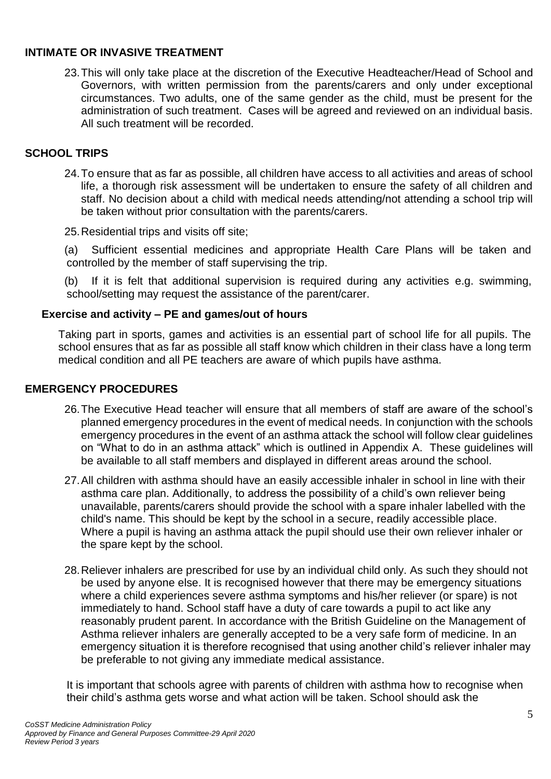## **INTIMATE OR INVASIVE TREATMENT**

23.This will only take place at the discretion of the Executive Headteacher/Head of School and Governors, with written permission from the parents/carers and only under exceptional circumstances. Two adults, one of the same gender as the child, must be present for the administration of such treatment. Cases will be agreed and reviewed on an individual basis. All such treatment will be recorded.

## **SCHOOL TRIPS**

24.To ensure that as far as possible, all children have access to all activities and areas of school life, a thorough risk assessment will be undertaken to ensure the safety of all children and staff. No decision about a child with medical needs attending/not attending a school trip will be taken without prior consultation with the parents/carers.

25.Residential trips and visits off site;

(a) Sufficient essential medicines and appropriate Health Care Plans will be taken and controlled by the member of staff supervising the trip.

(b) If it is felt that additional supervision is required during any activities e.g. swimming, school/setting may request the assistance of the parent/carer.

## **Exercise and activity – PE and games/out of hours**

Taking part in sports, games and activities is an essential part of school life for all pupils. The school ensures that as far as possible all staff know which children in their class have a long term medical condition and all PE teachers are aware of which pupils have asthma.

## **EMERGENCY PROCEDURES**

- 26.The Executive Head teacher will ensure that all members of staff are aware of the school's planned emergency procedures in the event of medical needs. In conjunction with the schools emergency procedures in the event of an asthma attack the school will follow clear guidelines on "What to do in an asthma attack" which is outlined in Appendix A. These guidelines will be available to all staff members and displayed in different areas around the school.
- 27.All children with asthma should have an easily accessible inhaler in school in line with their asthma care plan. Additionally, to address the possibility of a child's own reliever being unavailable, parents/carers should provide the school with a spare inhaler labelled with the child's name. This should be kept by the school in a secure, readily accessible place. Where a pupil is having an asthma attack the pupil should use their own reliever inhaler or the spare kept by the school.
- 28.Reliever inhalers are prescribed for use by an individual child only. As such they should not be used by anyone else. It is recognised however that there may be emergency situations where a child experiences severe asthma symptoms and his/her reliever (or spare) is not immediately to hand. School staff have a duty of care towards a pupil to act like any reasonably prudent parent. In accordance with the British Guideline on the Management of Asthma reliever inhalers are generally accepted to be a very safe form of medicine. In an emergency situation it is therefore recognised that using another child's reliever inhaler may be preferable to not giving any immediate medical assistance.

It is important that schools agree with parents of children with asthma how to recognise when their child's asthma gets worse and what action will be taken. School should ask the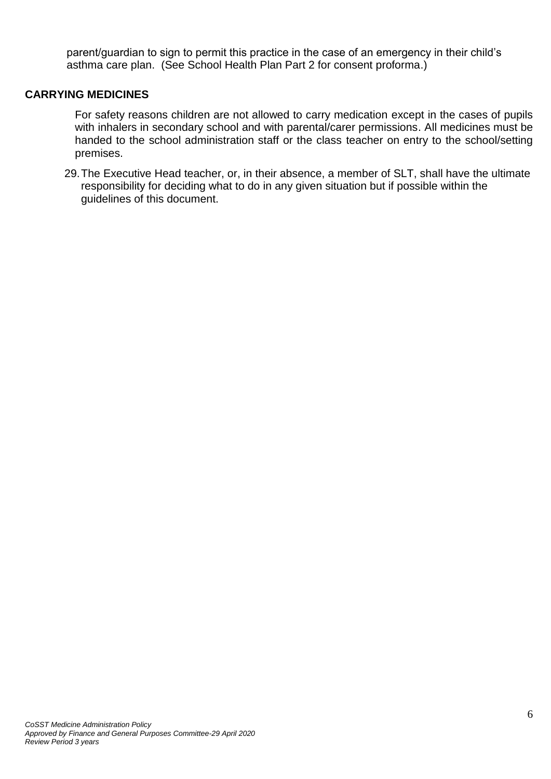parent/guardian to sign to permit this practice in the case of an emergency in their child's asthma care plan. (See School Health Plan Part 2 for consent proforma.)

#### **CARRYING MEDICINES**

For safety reasons children are not allowed to carry medication except in the cases of pupils with inhalers in secondary school and with parental/carer permissions. All medicines must be handed to the school administration staff or the class teacher on entry to the school/setting premises.

29.The Executive Head teacher, or, in their absence, a member of SLT, shall have the ultimate responsibility for deciding what to do in any given situation but if possible within the guidelines of this document.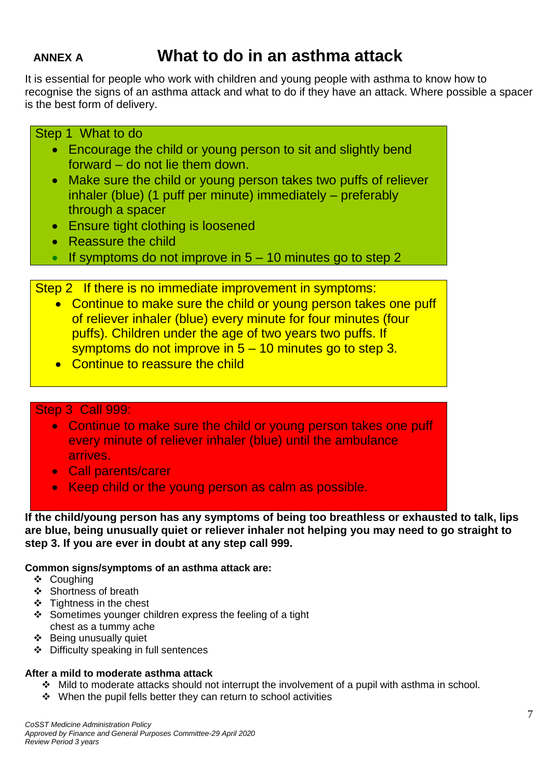# **ANNEX A What to do in an asthma attack**

It is essential for people who work with children and young people with asthma to know how to recognise the signs of an asthma attack and what to do if they have an attack. Where possible a spacer is the best form of delivery.

## Step 1 What to do

- Encourage the child or young person to sit and slightly bend forward – do not lie them down.
- Make sure the child or young person takes two puffs of reliever inhaler (blue) (1 puff per minute) immediately – preferably through a spacer
- Ensure tight clothing is loosened
- Reassure the child
- If symptoms do not improve in  $5 10$  minutes go to step 2

Step 2 If there is no immediate improvement in symptoms:

- Continue to make sure the child or young person takes one puff of reliever inhaler (blue) every minute for four minutes (four puffs). Children under the age of two years two puffs. If symptoms do not improve in 5 – 10 minutes go to step 3.
- Continue to reassure the child

## Step 3 Call 999:

- Continue to make sure the child or young person takes one puff every minute of reliever inhaler (blue) until the ambulance arrives.
- Call parents/carer
- Keep child or the young person as calm as possible.

**If the child/young person has any symptoms of being too breathless or exhausted to talk, lips are blue, being unusually quiet or reliever inhaler not helping you may need to go straight to step 3. If you are ever in doubt at any step call 999.**

#### **Common signs/symptoms of an asthma attack are:**

- ❖ Coughing
- Shortness of breath
- $\div$  Tightness in the chest
- Sometimes vounger children express the feeling of a tight chest as a tummy ache
- Being unusually quiet
- Difficulty speaking in full sentences

#### **After a mild to moderate asthma attack**

- $\cdot \cdot$  Mild to moderate attacks should not interrupt the involvement of a pupil with asthma in school.
- $\div$  When the pupil fells better they can return to school activities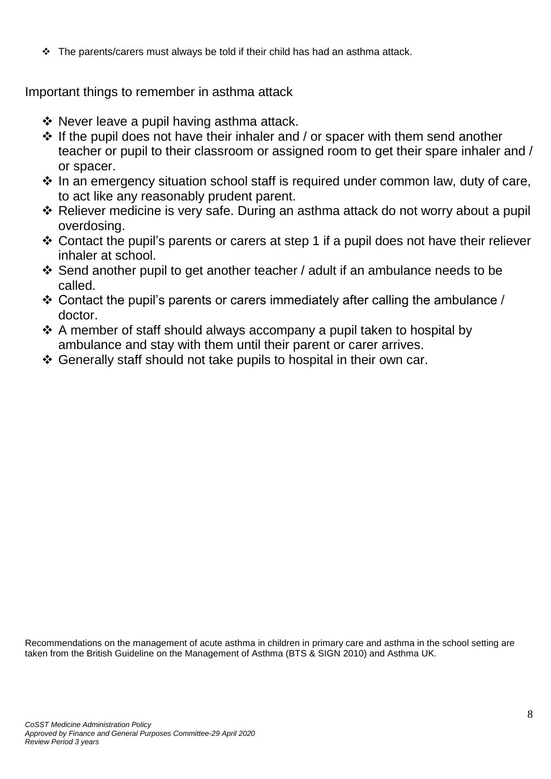$\div$  The parents/carers must always be told if their child has had an asthma attack.

Important things to remember in asthma attack

- $\div$  Never leave a pupil having asthma attack.
- $\cdot$  If the pupil does not have their inhaler and / or spacer with them send another teacher or pupil to their classroom or assigned room to get their spare inhaler and / or spacer.
- $\cdot$  In an emergency situation school staff is required under common law, duty of care, to act like any reasonably prudent parent.
- Reliever medicine is very safe. During an asthma attack do not worry about a pupil overdosing.
- Contact the pupil's parents or carers at step 1 if a pupil does not have their reliever inhaler at school.
- Send another pupil to get another teacher / adult if an ambulance needs to be called.
- $\div$  Contact the pupil's parents or carers immediately after calling the ambulance / doctor.
- $\cdot$  A member of staff should always accompany a pupil taken to hospital by ambulance and stay with them until their parent or carer arrives.
- Generally staff should not take pupils to hospital in their own car.

Recommendations on the management of acute asthma in children in primary care and asthma in the school setting are taken from the British Guideline on the Management of Asthma (BTS & SIGN 2010) and Asthma UK.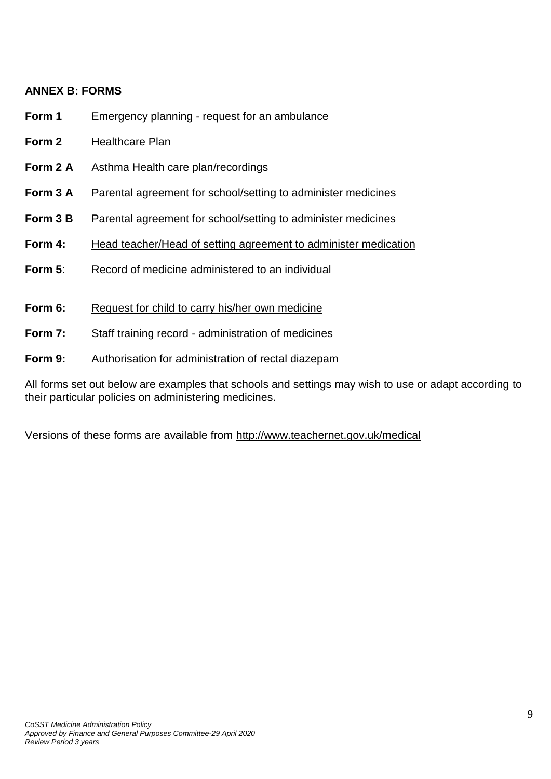## **ANNEX B: FORMS**

- **Form 1** Emergency planning request for an ambulance
- **Form 2** Healthcare Plan
- **Form 2 A** Asthma Health care plan/recordings
- **Form 3 A** Parental agreement for school/setting to administer medicines
- **Form 3 B** Parental agreement for school/setting to administer medicines
- **Form 4:** Head teacher/Head of setting agreement to administer medication
- **Form 5:** Record of medicine administered to an individual
- **Form 6:** Request for child to carry his/her own medicine
- **Form 7:** Staff training record administration of medicines
- **Form 9:** Authorisation for administration of rectal diazepam

All forms set out below are examples that schools and settings may wish to use or adapt according to their particular policies on administering medicines.

Versions of these forms are available from [http://www.teachernet.gov.uk/medical](http://www.teachernet/gov.uk/medical)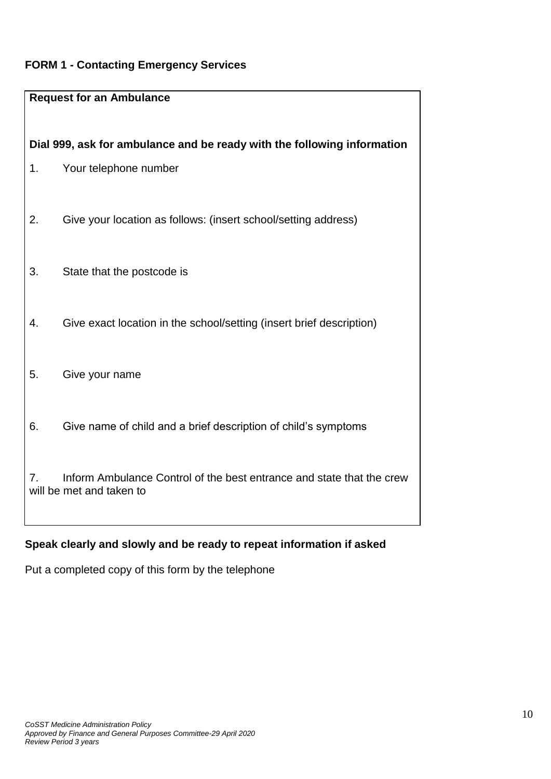## **FORM 1 - Contacting Emergency Services**

|    | <b>Request for an Ambulance</b>                                                                  |
|----|--------------------------------------------------------------------------------------------------|
| 1. | Dial 999, ask for ambulance and be ready with the following information<br>Your telephone number |
| 2. | Give your location as follows: (insert school/setting address)                                   |
| 3. | State that the postcode is                                                                       |
| 4. | Give exact location in the school/setting (insert brief description)                             |
| 5. | Give your name                                                                                   |
| 6. | Give name of child and a brief description of child's symptoms                                   |
| 7. | Inform Ambulance Control of the best entrance and state that the crew                            |
|    | will be met and taken to                                                                         |

# **Speak clearly and slowly and be ready to repeat information if asked**

Put a completed copy of this form by the telephone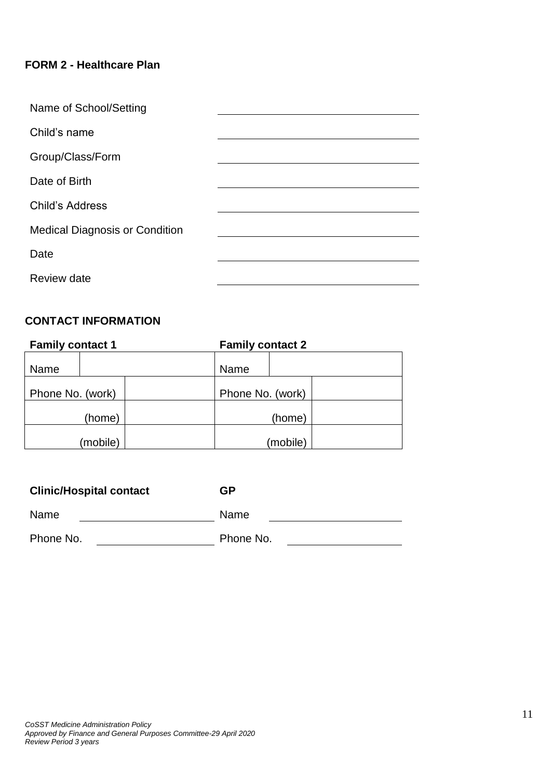## **FORM 2 - Healthcare Plan**

| Name of School/Setting                |  |
|---------------------------------------|--|
| Child's name                          |  |
| Group/Class/Form                      |  |
| Date of Birth                         |  |
| <b>Child's Address</b>                |  |
| <b>Medical Diagnosis or Condition</b> |  |
| Date                                  |  |
| Review date                           |  |

## **CONTACT INFORMATION**

| <b>Family contact 1</b> | <b>Family contact 2</b> |
|-------------------------|-------------------------|
| Name                    | Name                    |
| Phone No. (work)        | Phone No. (work)        |
| (home)                  | (home)                  |
| (mobile)                | (mobile)                |

| <b>Clinic/Hospital contact</b> | GP        |
|--------------------------------|-----------|
| Name                           | Name      |
| Phone No.                      | Phone No. |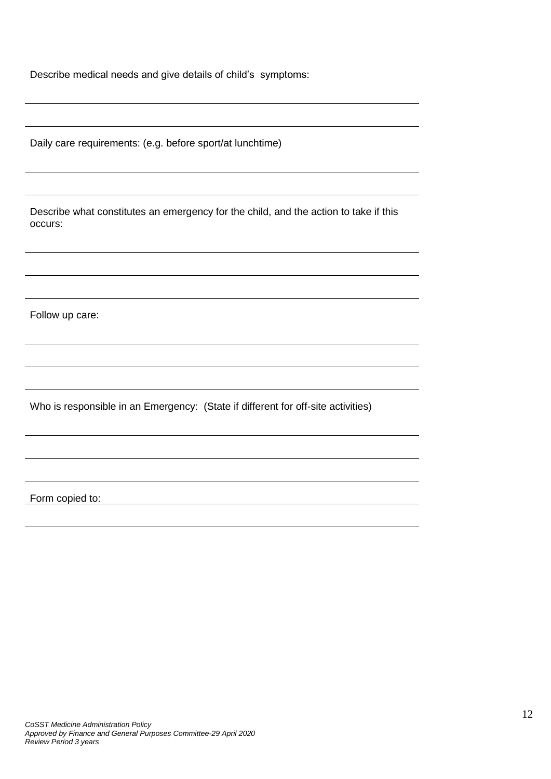Describe medical needs and give details of child's symptoms:

Daily care requirements: (e.g. before sport/at lunchtime)

Describe what constitutes an emergency for the child, and the action to take if this occurs:

Follow up care:

Who is responsible in an Emergency: (State if different for off-site activities)

Form copied to: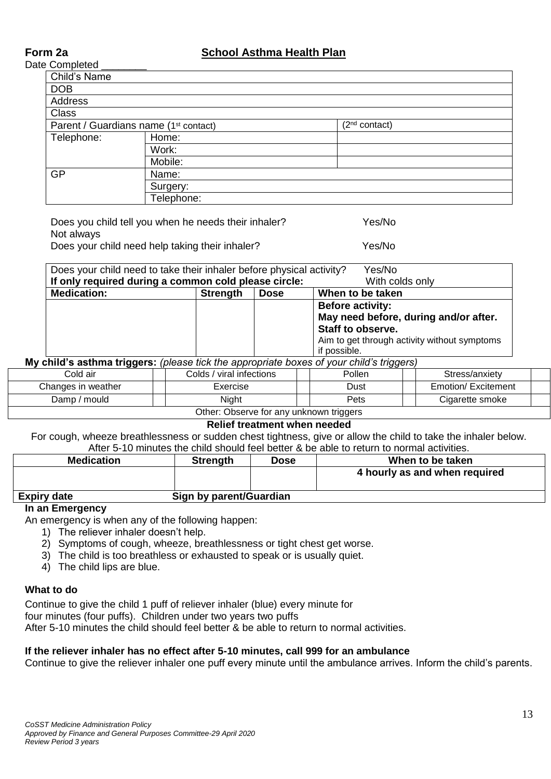## **Form 2a School Asthma Health Plan**

Date Completed

| $\sim$ $\sim$ $\sim$ $\sim$ $\sim$ $\sim$         |            |                           |
|---------------------------------------------------|------------|---------------------------|
| Child's Name                                      |            |                           |
| <b>DOB</b>                                        |            |                           |
| Address                                           |            |                           |
| <b>Class</b>                                      |            |                           |
| Parent / Guardians name (1 <sup>st</sup> contact) |            | (2 <sup>nd</sup> contact) |
| Telephone:                                        | Home:      |                           |
|                                                   | Work:      |                           |
|                                                   | Mobile:    |                           |
| <b>GP</b>                                         | Name:      |                           |
|                                                   | Surgery:   |                           |
|                                                   | Telephone: |                           |

Does you child tell you when he needs their inhaler? Yes/No Not always Does your child need help taking their inhaler? Yes/No

| If only required during a common cold please circle:                     |  |                         | With colds only                              |  |
|--------------------------------------------------------------------------|--|-------------------------|----------------------------------------------|--|
| <b>Medication:</b><br>When to be taken<br><b>Strength</b><br><b>Dose</b> |  |                         |                                              |  |
|                                                                          |  | <b>Before activity:</b> |                                              |  |
|                                                                          |  |                         | May need before, during and/or after.        |  |
|                                                                          |  |                         | Staff to observe.                            |  |
|                                                                          |  |                         | Aim to get through activity without symptoms |  |
|                                                                          |  |                         | if possible.                                 |  |

**My child's asthma triggers:** *(please tick the appropriate boxes of your child's triggers)*

| ીold air                               | ' viral infections<br>⁄ oldsٺ | Pollen | Stress/anxiety      |  |  |  |
|----------------------------------------|-------------------------------|--------|---------------------|--|--|--|
| Changes in weather                     | Exercise                      | Dust   | Emotion/ Excitement |  |  |  |
| mould<br>Damp /                        | Niaht                         | Pets   | Cigarette smoke     |  |  |  |
| Other Observe for only unline the same |                               |        |                     |  |  |  |

Other: Observe for any unknown triggers

#### **Relief treatment when needed**

For cough, wheeze breathlessness or sudden chest tightness, give or allow the child to take the inhaler below. After 5-10 minutes the child should feel better & be able to return to normal activities.

| <b>Medication</b> | <b>Strength</b>         | Dose | When to be taken              |
|-------------------|-------------------------|------|-------------------------------|
|                   |                         |      | 4 hourly as and when required |
| Evning dota       | Cian by noront/Cupraion |      |                               |

#### **Expiry date Sign by parent/Guardian**

#### **In an Emergency**

An emergency is when any of the following happen:

1) The reliever inhaler doesn't help.

2) Symptoms of cough, wheeze, breathlessness or tight chest get worse.

3) The child is too breathless or exhausted to speak or is usually quiet.

4) The child lips are blue.

#### **What to do**

Continue to give the child 1 puff of reliever inhaler (blue) every minute for

four minutes (four puffs). Children under two years two puffs

After 5-10 minutes the child should feel better & be able to return to normal activities.

#### **If the reliever inhaler has no effect after 5-10 minutes, call 999 for an ambulance**

Continue to give the reliever inhaler one puff every minute until the ambulance arrives. Inform the child's parents.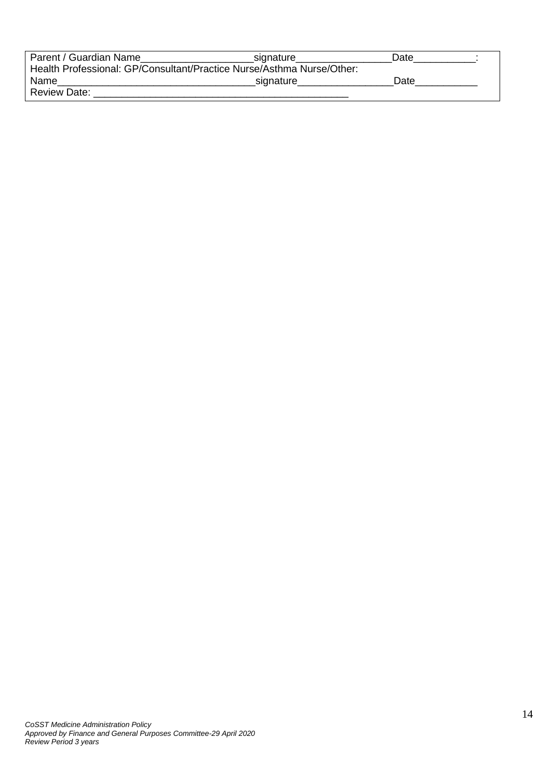| Parent / Guardian Name                                                | signature | Date |  |
|-----------------------------------------------------------------------|-----------|------|--|
| Health Professional: GP/Consultant/Practice Nurse/Asthma Nurse/Other: |           |      |  |
| Name                                                                  | signature | Date |  |
| <b>Review Date:</b>                                                   |           |      |  |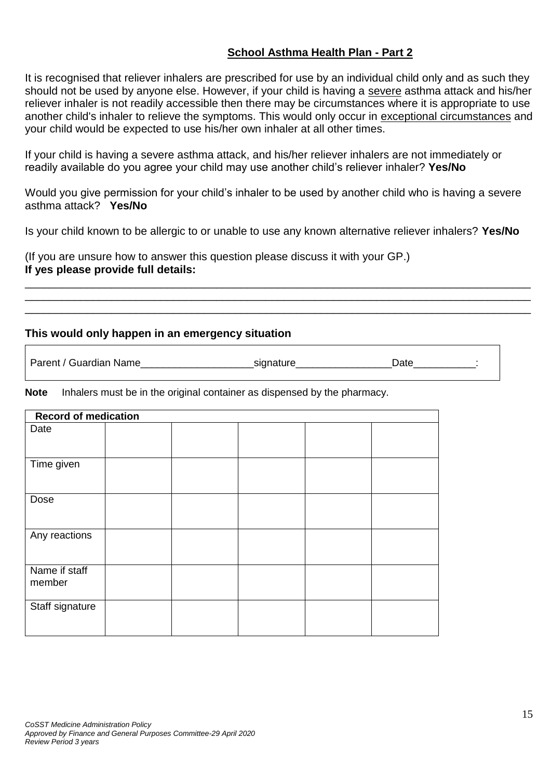## **School Asthma Health Plan - Part 2**

It is recognised that reliever inhalers are prescribed for use by an individual child only and as such they should not be used by anyone else. However, if your child is having a severe asthma attack and his/her reliever inhaler is not readily accessible then there may be circumstances where it is appropriate to use another child's inhaler to relieve the symptoms. This would only occur in exceptional circumstances and your child would be expected to use his/her own inhaler at all other times.

If your child is having a severe asthma attack, and his/her reliever inhalers are not immediately or readily available do you agree your child may use another child's reliever inhaler? **Yes/No**

Would you give permission for your child's inhaler to be used by another child who is having a severe asthma attack? **Yes/No**

Is your child known to be allergic to or unable to use any known alternative reliever inhalers? **Yes/No**

\_\_\_\_\_\_\_\_\_\_\_\_\_\_\_\_\_\_\_\_\_\_\_\_\_\_\_\_\_\_\_\_\_\_\_\_\_\_\_\_\_\_\_\_\_\_\_\_\_\_\_\_\_\_\_\_\_\_\_\_\_\_\_\_\_\_\_\_\_\_\_\_\_\_\_\_\_\_\_\_\_\_ \_\_\_\_\_\_\_\_\_\_\_\_\_\_\_\_\_\_\_\_\_\_\_\_\_\_\_\_\_\_\_\_\_\_\_\_\_\_\_\_\_\_\_\_\_\_\_\_\_\_\_\_\_\_\_\_\_\_\_\_\_\_\_\_\_\_\_\_\_\_\_\_\_\_\_\_\_\_\_\_\_\_ \_\_\_\_\_\_\_\_\_\_\_\_\_\_\_\_\_\_\_\_\_\_\_\_\_\_\_\_\_\_\_\_\_\_\_\_\_\_\_\_\_\_\_\_\_\_\_\_\_\_\_\_\_\_\_\_\_\_\_\_\_\_\_\_\_\_\_\_\_\_\_\_\_\_\_\_\_\_\_\_\_\_

(If you are unsure how to answer this question please discuss it with your GP.) **If yes please provide full details:**

### **This would only happen in an emergency situation**

Parent / Guardian Name extending the signature of the contract of the Date of the signature of the Date of the  $\sim$ 

**Note** Inhalers must be in the original container as dispensed by the pharmacy.

|                         | <b>Record of medication</b> |  |  |  |  |  |
|-------------------------|-----------------------------|--|--|--|--|--|
| Date                    |                             |  |  |  |  |  |
| Time given              |                             |  |  |  |  |  |
| Dose                    |                             |  |  |  |  |  |
| Any reactions           |                             |  |  |  |  |  |
| Name if staff<br>member |                             |  |  |  |  |  |
| Staff signature         |                             |  |  |  |  |  |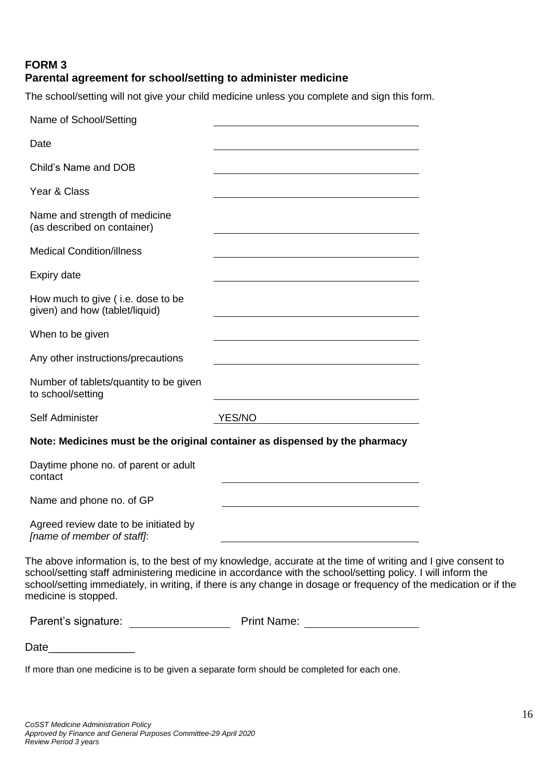# **FORM 3 Parental agreement for school/setting to administer medicine**

The school/setting will not give your child medicine unless you complete and sign this form.

| Name of School/Setting                                              |                                                                                                                                                                                                                                                                                                                                                  |  |
|---------------------------------------------------------------------|--------------------------------------------------------------------------------------------------------------------------------------------------------------------------------------------------------------------------------------------------------------------------------------------------------------------------------------------------|--|
| Date                                                                |                                                                                                                                                                                                                                                                                                                                                  |  |
| Child's Name and DOB                                                |                                                                                                                                                                                                                                                                                                                                                  |  |
| Year & Class                                                        |                                                                                                                                                                                                                                                                                                                                                  |  |
| Name and strength of medicine<br>(as described on container)        |                                                                                                                                                                                                                                                                                                                                                  |  |
| <b>Medical Condition/illness</b>                                    |                                                                                                                                                                                                                                                                                                                                                  |  |
| Expiry date                                                         |                                                                                                                                                                                                                                                                                                                                                  |  |
| How much to give (i.e. dose to be<br>given) and how (tablet/liquid) |                                                                                                                                                                                                                                                                                                                                                  |  |
| When to be given                                                    |                                                                                                                                                                                                                                                                                                                                                  |  |
| Any other instructions/precautions                                  |                                                                                                                                                                                                                                                                                                                                                  |  |
| Number of tablets/quantity to be given<br>to school/setting         |                                                                                                                                                                                                                                                                                                                                                  |  |
| Self Administer                                                     | <b>YES/NO</b>                                                                                                                                                                                                                                                                                                                                    |  |
|                                                                     | Note: Medicines must be the original container as dispensed by the pharmacy                                                                                                                                                                                                                                                                      |  |
| Daytime phone no. of parent or adult<br>contact                     |                                                                                                                                                                                                                                                                                                                                                  |  |
| Name and phone no. of GP                                            |                                                                                                                                                                                                                                                                                                                                                  |  |
| Agreed review date to be initiated by<br>[name of member of staff]: |                                                                                                                                                                                                                                                                                                                                                  |  |
| medicine is stopped.                                                | The above information is, to the best of my knowledge, accurate at the time of writing and I give consent to<br>school/setting staff administering medicine in accordance with the school/setting policy. I will inform the<br>school/setting immediately, in writing, if there is any change in dosage or frequency of the medication or if the |  |
| Parent's signature: __________________                              | Print Name: <u>___________________</u>                                                                                                                                                                                                                                                                                                           |  |

If more than one medicine is to be given a separate form should be completed for each one.

Date\_\_\_\_\_\_\_\_\_\_\_\_\_\_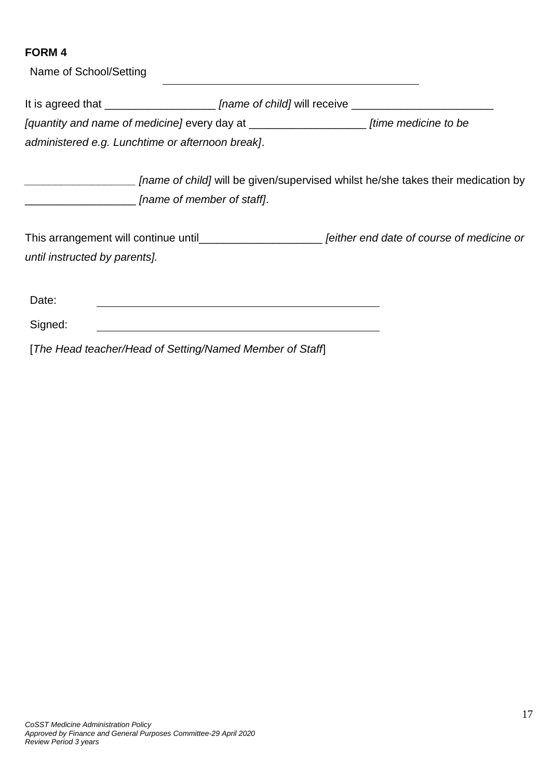| Name of School/Setting                                   |                                                              |                                                                                                           |  |
|----------------------------------------------------------|--------------------------------------------------------------|-----------------------------------------------------------------------------------------------------------|--|
|                                                          |                                                              | It is agreed that ______________________ [name of child] will receive ______________________________      |  |
|                                                          |                                                              | [quantity and name of medicine] every day at ___________________________ [time medicine to be             |  |
| administered e.g. Lunchtime or afternoon break].         |                                                              |                                                                                                           |  |
| ___________________ [name of member of staff].           |                                                              | <i>[name of child]</i> will be given/supervised whilst he/she takes their medication by                   |  |
|                                                          |                                                              | This arrangement will continue until___________________________ [either end date of course of medicine or |  |
| until instructed by parents].                            |                                                              |                                                                                                           |  |
| Date:                                                    |                                                              |                                                                                                           |  |
| Signed:                                                  | <u> 1989 - Johann Stein, mars an de Britannich (b. 1989)</u> |                                                                                                           |  |
| [The Head teacher/Head of Setting/Named Member of Staff] |                                                              |                                                                                                           |  |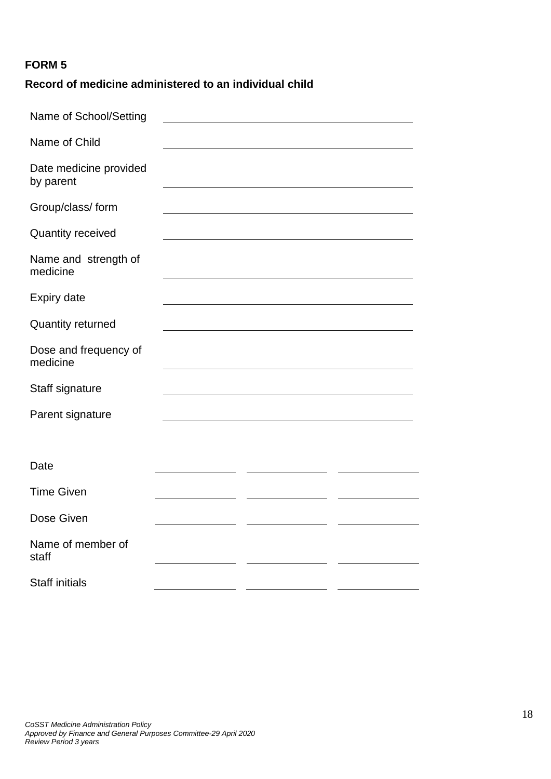# **Record of medicine administered to an individual child**

| Name of School/Setting              |  |  |
|-------------------------------------|--|--|
| Name of Child                       |  |  |
| Date medicine provided<br>by parent |  |  |
| Group/class/ form                   |  |  |
| <b>Quantity received</b>            |  |  |
| Name and strength of<br>medicine    |  |  |
| <b>Expiry date</b>                  |  |  |
| <b>Quantity returned</b>            |  |  |
| Dose and frequency of<br>medicine   |  |  |
| Staff signature                     |  |  |
| Parent signature                    |  |  |
|                                     |  |  |
| Date                                |  |  |
| <b>Time Given</b>                   |  |  |
| Dose Given                          |  |  |
| Name of member of<br>staff          |  |  |
| <b>Staff initials</b>               |  |  |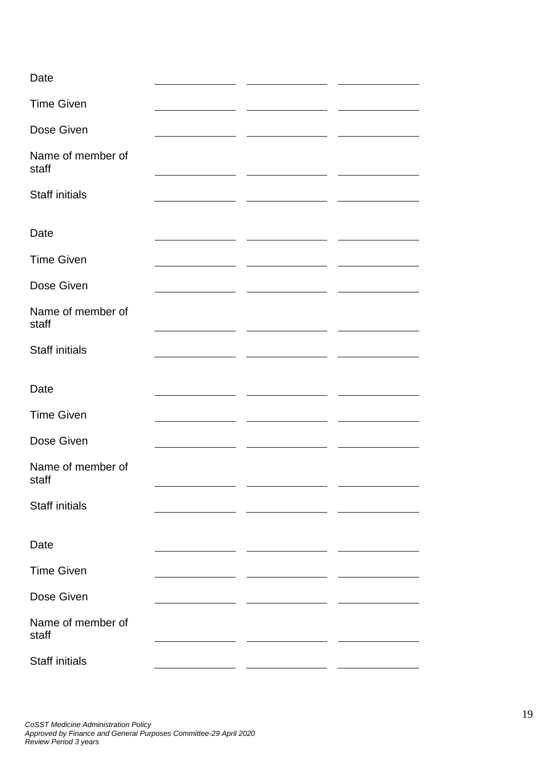| Date                       |  |  |
|----------------------------|--|--|
| <b>Time Given</b>          |  |  |
| Dose Given                 |  |  |
| Name of member of<br>staff |  |  |
| <b>Staff initials</b>      |  |  |
| Date                       |  |  |
| <b>Time Given</b>          |  |  |
| Dose Given                 |  |  |
| Name of member of<br>staff |  |  |
| <b>Staff initials</b>      |  |  |
| Date                       |  |  |
| <b>Time Given</b>          |  |  |
| Dose Given                 |  |  |
| Name of member of<br>staff |  |  |
| <b>Staff initials</b>      |  |  |
| Date                       |  |  |
| <b>Time Given</b>          |  |  |
| Dose Given                 |  |  |
| Name of member of<br>staff |  |  |
| <b>Staff initials</b>      |  |  |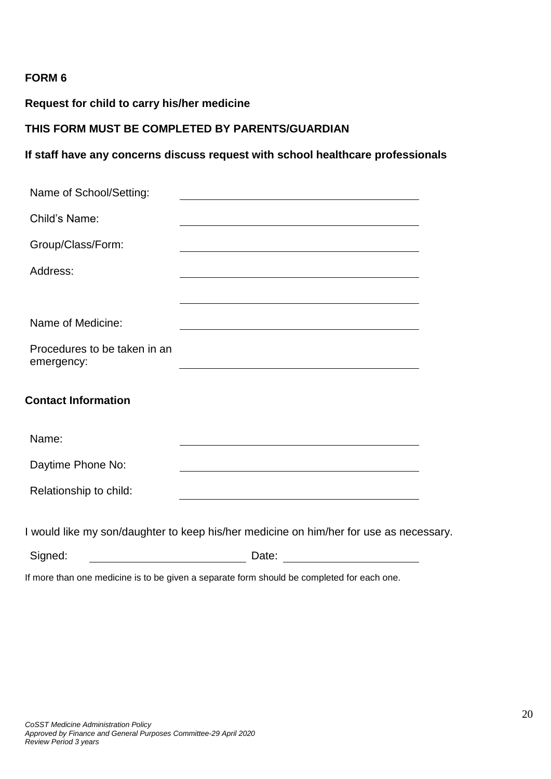## **Request for child to carry his/her medicine**

## **THIS FORM MUST BE COMPLETED BY PARENTS/GUARDIAN**

#### **If staff have any concerns discuss request with school healthcare professionals**

| Name of School/Setting:                                                  |                                                                                                                                                                                                                               |  |
|--------------------------------------------------------------------------|-------------------------------------------------------------------------------------------------------------------------------------------------------------------------------------------------------------------------------|--|
| Child's Name:                                                            |                                                                                                                                                                                                                               |  |
| Group/Class/Form:                                                        |                                                                                                                                                                                                                               |  |
| Address:                                                                 | <u> 1989 - Johann Stein, marwolaethau (b. 1989)</u>                                                                                                                                                                           |  |
|                                                                          | the control of the control of the control of the control of the control of the control of the control of the control of the control of the control of the control of the control of the control of the control of the control |  |
| Name of Medicine:                                                        |                                                                                                                                                                                                                               |  |
| Procedures to be taken in an<br>emergency:                               | <u> 1989 - Johann Stein, marwolaethau a bhann an t-Amhair an t-Amhair an t-Amhair an t-Amhair an t-Amhair an t-A</u>                                                                                                          |  |
| <b>Contact Information</b>                                               |                                                                                                                                                                                                                               |  |
| Name:                                                                    |                                                                                                                                                                                                                               |  |
| Daytime Phone No:                                                        | <u> 1989 - Johann Barn, amerikansk politiker (d. 1989)</u>                                                                                                                                                                    |  |
| Relationship to child:                                                   |                                                                                                                                                                                                                               |  |
|                                                                          | I would like my son/daughter to keep his/her medicine on him/her for use as necessary.                                                                                                                                        |  |
| Signed:<br><u> 1980 - Johann Barn, mars an t-Amerikaansk ferskeizh (</u> | Date:<br><u> 1980 - Johann Barnett, fransk politik (</u>                                                                                                                                                                      |  |

If more than one medicine is to be given a separate form should be completed for each one.